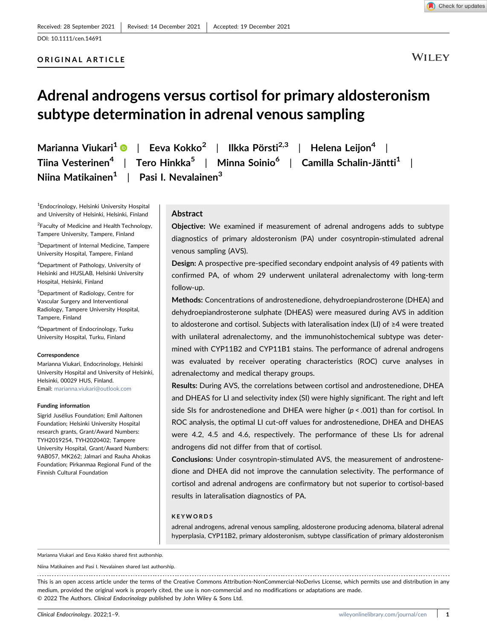## ORIGINAL ARTICLE

**WILEY** 

# Adrenal androgens versus cortisol for primary aldosteronism subtype determination in adrenal venous sampling

Marianna Viukari<sup>1</sup> | Eeva Kokko<sup>2</sup> | Ilkka Pörsti<sup>2,3</sup> | Helena Leijon<sup>4</sup> | Tiina Vesterinen<sup>4</sup> | Tero Hinkka<sup>5</sup> | Minna Soinio<sup>6</sup> | Camilla Schalin-Jäntti<sup>1</sup> | Niina Matikainen $1 \mid$  Pasi I. Nevalainen<sup>3</sup>

1 Endocrinology, Helsinki University Hospital and University of Helsinki, Helsinki, Finland

<sup>2</sup> Faculty of Medicine and Health Technology, Tampere University, Tampere, Finland

3 Department of Internal Medicine, Tampere University Hospital, Tampere, Finland

4 Department of Pathology, University of Helsinki and HUSLAB, Helsinki University Hospital, Helsinki, Finland

5 Department of Radiology, Centre for Vascular Surgery and Interventional Radiology, Tampere University Hospital, Tampere, Finland

6 Department of Endocrinology, Turku University Hospital, Turku, Finland

#### **Correspondence**

Marianna Viukari, Endocrinology, Helsinki University Hospital and University of Helsinki, Helsinki, 00029 HUS, Finland. Email: [marianna.viukari@outlook.com](mailto:marianna.viukari@outlook.com)

#### Funding information

Sigrid Jusélius Foundation; Emil Aaltonen Foundation; Helsinki University Hospital research grants, Grant/Award Numbers: TYH2019254, TYH2020402; Tampere University Hospital, Grant/Award Numbers: 9AB057, MK262; Jalmari and Rauha Ahokas Foundation; Pirkanmaa Regional Fund of the Finnish Cultural Foundation

## Abstract

Objective: We examined if measurement of adrenal androgens adds to subtype diagnostics of primary aldosteronism (PA) under cosyntropin‐stimulated adrenal venous sampling (AVS).

Design: A prospective pre‐specified secondary endpoint analysis of 49 patients with confirmed PA, of whom 29 underwent unilateral adrenalectomy with long‐term follow‐up.

Methods: Concentrations of androstenedione, dehydroepiandrosterone (DHEA) and dehydroepiandrosterone sulphate (DHEAS) were measured during AVS in addition to aldosterone and cortisol. Subjects with lateralisation index (LI) of ≥4 were treated with unilateral adrenalectomy, and the immunohistochemical subtype was determined with CYP11B2 and CYP11B1 stains. The performance of adrenal androgens was evaluated by receiver operating characteristics (ROC) curve analyses in adrenalectomy and medical therapy groups.

Results: During AVS, the correlations between cortisol and androstenedione, DHEA and DHEAS for LI and selectivity index (SI) were highly significant. The right and left side SIs for androstenedione and DHEA were higher ( $p < .001$ ) than for cortisol. In ROC analysis, the optimal LI cut-off values for androstenedione, DHEA and DHEAS were 4.2, 4.5 and 4.6, respectively. The performance of these LIs for adrenal androgens did not differ from that of cortisol.

Conclusions: Under cosyntropin‐stimulated AVS, the measurement of androstenedione and DHEA did not improve the cannulation selectivity. The performance of cortisol and adrenal androgens are confirmatory but not superior to cortisol‐based results in lateralisation diagnostics of PA.

#### KEYWORDS

adrenal androgens, adrenal venous sampling, aldosterone producing adenoma, bilateral adrenal hyperplasia, CYP11B2, primary aldosteronism, subtype classification of primary aldosteronism

Marianna Viukari and Eeva Kokko shared first authorship.

Niina Matikainen and Pasi I. Nevalainen shared last authorship.

This is an open access article under the terms of the Creative Commons Attribution‐NonCommercial‐NoDerivs License, which permits use and distribution in any medium, provided the original work is properly cited, the use is non‐commercial and no modifications or adaptations are made. © 2022 The Authors. Clinical Endocrinology published by John Wiley & Sons Ltd.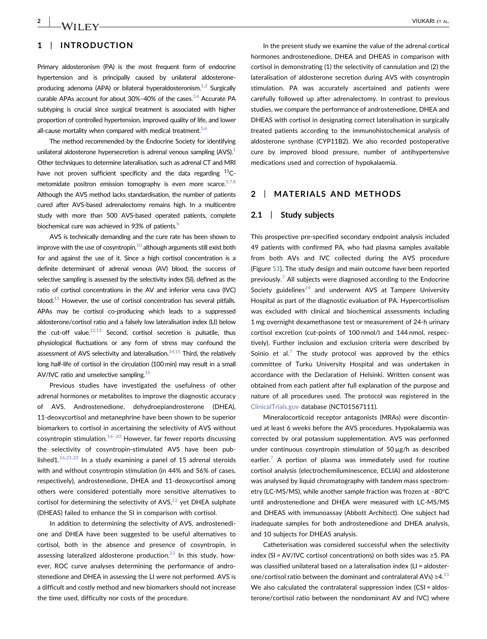# 1 | INTRODUCTION

Primary aldosteronism (PA) is the most frequent form of endocrine hypertension and is principally caused by unilateral aldosterone‐ producing adenoma (APA) or bilateral hyperaldosteronism.<sup>1,2</sup> Surgically curable APAs account for about  $30\% - 40\%$  of the cases.<sup>3,4</sup> Accurate PA subtyping is crucial since surgical treatment is associated with higher proportion of controlled hypertension, improved quality of life, and lower all-cause mortality when compared with medical treatment.<sup>5,6</sup>

The method recommended by the Endocrine Society for identifying unilateral aldosterone hypersecretion is adrenal venous sampling  $(AVS)^{1}$ Other techniques to determine lateralisation, such as adrenal CT and MRI have not proven sufficient specificity and the data regarding  $^{11}$ Cmetomidate positron emission tomography is even more scarce. $17,8$ Although the AVS method lacks standardisation, the number of patients cured after AVS‐based adrenalectomy remains high. In a multicentre study with more than 500 AVS‐based operated patients, complete biochemical cure was achieved in 93% of patients.<sup>9</sup>

AVS is technically demanding and the cure rate has been shown to improve with the use of cosyntropin, $10$  although arguments still exist both for and against the use of it. Since a high cortisol concentration is a definite determinant of adrenal venous (AV) blood, the success of selective sampling is assessed by the selectivity index (SI), defined as the ratio of cortisol concentrations in the AV and inferior vena cava (IVC) blood.<sup>11</sup> However, the use of cortisol concentration has several pitfalls. APAs may be cortisol co‐producing which leads to a suppressed aldosterone/cortisol ratio and a falsely low lateralisation index (LI) below the cut-off value.<sup>12,13</sup> Second, cortisol secretion is pulsatile, thus physiological fluctuations or any form of stress may confound the assessment of AVS selectivity and lateralisation. $14,15$  Third, the relatively long half-life of cortisol in the circulation (100 min) may result in a small AV/IVC ratio and unselective sampling[.16](#page-7-8)

Previous studies have investigated the usefulness of other adrenal hormones or metabolites to improve the diagnostic accuracy of AVS. Androstenedione, dehydroepiandrosterone (DHEA), 11-deoxycortisol and metanephrine have been shown to be superior biomarkers to cortisol in ascertaining the selectivity of AVS without cosyntropin stimulation. $16-20$  $16-20$  However, far fewer reports discussing the selectivity of cosyntropin‐stimulated AVS have been published1. $16,21,22$  In a study examining a panel of 15 adrenal steroids with and without cosyntropin stimulation (in 44% and 56% of cases, respectively), androstenedione, DHEA and 11‐deoxycortisol among others were considered potentially more sensitive alternatives to cortisol for determining the selectivity of AVS, $^{22}$  yet DHEA sulphate (DHEAS) failed to enhance the SI in comparison with cortisol.

In addition to determining the selectivity of AVS, androstenedione and DHEA have been suggested to be useful alternatives to cortisol, both in the absence and presence of cosyntropin, in assessing lateralized aldosterone production.<sup>[23](#page-8-1)</sup> In this study, however, ROC curve analyses determining the performance of androstenedione and DHEA in assessing the LI were not performed. AVS is a difficult and costly method and new biomarkers should not increase the time used, difficulty nor costs of the procedure.

In the present study we examine the value of the adrenal cortical hormones androstenedione, DHEA and DHEAS in comparison with cortisol in demonstrating (1) the selectivity of cannulation and (2) the lateralisation of aldosterone secretion during AVS with cosyntropin stimulation. PA was accurately ascertained and patients were carefully followed up after adrenalectomy. In contrast to previous studies, we compare the performance of androstenedione, DHEA and DHEAS with cortisol in designating correct lateralisation in surgically treated patients according to the immunohistochemical analysis of aldosterone synthase (CYP11B2). We also recorded postoperative cure by improved blood pressure, number of antihypertensive medications used and correction of hypokalaemia.

## 2 | MATERIALS AND METHODS

## 2.1 | Study subjects

This prospective pre‐specified secondary endpoint analysis included 49 patients with confirmed PA, who had plasma samples available from both AVs and IVC collected during the AVS procedure (Figure S1). The study design and main outcome have been reported previously.<sup>[7](#page-7-9)</sup> All subjects were diagnosed according to the Endocrine Society guidelines<sup>[24](#page-8-2)</sup> and underwent AVS at Tampere University Hospital as part of the diagnostic evaluation of PA. Hypercortisolism was excluded with clinical and biochemical assessments including 1 mg overnight dexamethasone test or measurement of 24‐h urinary cortisol excretion (cut-points of 100 nmol/l and 144 nmol, respectively). Further inclusion and exclusion criteria were described by Soinio et al.<sup>[7](#page-7-9)</sup> The study protocol was approved by the ethics committee of Turku University Hospital and was undertaken in accordance with the Declaration of Helsinki. Written consent was obtained from each patient after full explanation of the purpose and nature of all procedures used. The protocol was registered in the [ClinicalTrials.gov](https://ClinicalTrials.gov) database (NCT01567111).

Mineralocorticoid receptor antagonists (MRAs) were discontinued at least 6 weeks before the AVS procedures. Hypokalaemia was corrected by oral potassium supplementation. AVS was performed under continuous cosyntropin stimulation of 50 μg/h as described earlier.<sup>[7](#page-7-9)</sup> A portion of plasma was immediately used for routine cortisol analysis (electrochemiluminescence, ECLIA) and aldosterone was analysed by liquid chromatography with tandem mass spectrometry (LC‐MS/MS), while another sample fraction was frozen at −80°C until androstenedione and DHEA were measured with LC‐MS/MS and DHEAS with immunoassay (Abbott Architect). One subject had inadequate samples for both androstenedione and DHEA analysis, and 10 subjects for DHEAS analysis.

Catheterisation was considered successful when the selectivity index (SI = AV/IVC cortisol concentrations) on both sides was ≥5. PA was classified unilateral based on a lateralisation index (LI = aldosterone/cortisol ratio between the dominant and contralateral AVs)  $\geq 4$ .<sup>[11](#page-7-5)</sup> We also calculated the contralateral suppression index (CSI = aldosterone/cortisol ratio between the nondominant AV and IVC) where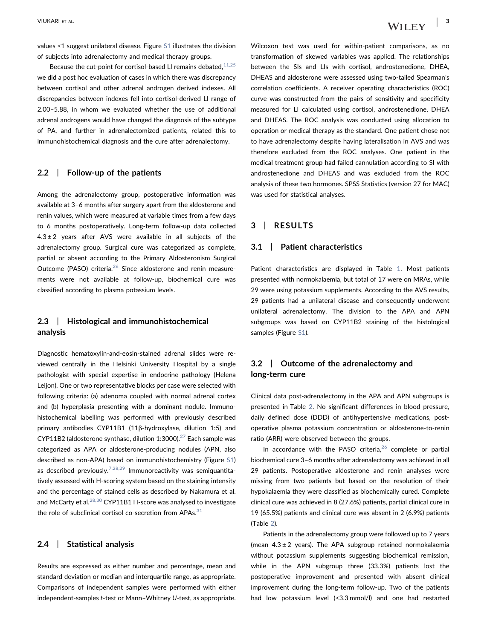values <1 suggest unilateral disease. Figure S1 illustrates the division of subjects into adrenalectomy and medical therapy groups.

Because the cut-point for cortisol-based LI remains debated,  $11,25$ we did a post hoc evaluation of cases in which there was discrepancy between cortisol and other adrenal androgen derived indexes. All discrepancies between indexes fell into cortisol‐derived LI range of 2.00–5.88, in whom we evaluated whether the use of additional adrenal androgens would have changed the diagnosis of the subtype of PA, and further in adrenalectomized patients, related this to immunohistochemical diagnosis and the cure after adrenalectomy.

## 2.2 | Follow-up of the patients

Among the adrenalectomy group, postoperative information was available at 3–6 months after surgery apart from the aldosterone and renin values, which were measured at variable times from a few days to 6 months postoperatively. Long‐term follow‐up data collected  $4.3 \pm 2$  years after AVS were available in all subjects of the adrenalectomy group. Surgical cure was categorized as complete, partial or absent according to the Primary Aldosteronism Surgical Outcome (PASO) criteria.<sup>[26](#page-8-3)</sup> Since aldosterone and renin measurements were not available at follow‐up, biochemical cure was classified according to plasma potassium levels.

## 2.3 | Histological and immunohistochemical analysis

Diagnostic hematoxylin‐and‐eosin‐stained adrenal slides were reviewed centrally in the Helsinki University Hospital by a single pathologist with special expertise in endocrine pathology (Helena Leijon). One or two representative blocks per case were selected with following criteria: (a) adenoma coupled with normal adrenal cortex and (b) hyperplasia presenting with a dominant nodule. Immunohistochemical labelling was performed with previously described primary antibodies CYP11B1 (11β‐hydroxylase, dilution 1:5) and CYP11B2 (aldosterone synthase, dilution 1:3000).<sup>27</sup> Each sample was categorized as APA or aldosterone‐producing nodules (APN, also described as non‐APA) based on immunohistochemistry (Figure S1) as described previously.<sup>[7,28,29](#page-7-9)</sup> Immunoreactivity was semiquantitatively assessed with H‐scoring system based on the staining intensity and the percentage of stained cells as described by Nakamura et al. and McCarty et al. $^{28,30}$  $^{28,30}$  $^{28,30}$  CYP11B1 H-score was analysed to investigate the role of subclinical cortisol co-secretion from APAs. $31$ 

# 2.4 | Statistical analysis

Results are expressed as either number and percentage, mean and standard deviation or median and interquartile range, as appropriate. Comparisons of independent samples were performed with either independent-samples t-test or Mann-Whitney U-test, as appropriate.

Wilcoxon test was used for within‐patient comparisons, as no transformation of skewed variables was applied. The relationships between the SIs and LIs with cortisol, androstenedione, DHEA, DHEAS and aldosterone were assessed using two‐tailed Spearman's correlation coefficients. A receiver operating characteristics (ROC) curve was constructed from the pairs of sensitivity and specificity measured for LI calculated using cortisol, androstenedione, DHEA and DHEAS. The ROC analysis was conducted using allocation to operation or medical therapy as the standard. One patient chose not to have adrenalectomy despite having lateralisation in AVS and was therefore excluded from the ROC analyses. One patient in the medical treatment group had failed cannulation according to SI with androstenedione and DHEAS and was excluded from the ROC analysis of these two hormones. SPSS Statistics (version 27 for MAC) was used for statistical analyses.

## 3 | RESULTS

### 3.1 | Patient characteristics

Patient characteristics are displayed in Table [1.](#page-3-0) Most patients presented with normokalaemia, but total of 17 were on MRAs, while 29 were using potassium supplements. According to the AVS results, 29 patients had a unilateral disease and consequently underwent unilateral adrenalectomy. The division to the APA and APN subgroups was based on CYP11B2 staining of the histological samples (Figure S1).

# 3.2 | Outcome of the adrenalectomy and long‐term cure

Clinical data post‐adrenalectomy in the APA and APN subgroups is presented in Table [2](#page-4-0). No significant differences in blood pressure, daily defined dose (DDD) of antihypertensive medications, postoperative plasma potassium concentration or aldosterone‐to‐renin ratio (ARR) were observed between the groups.

In accordance with the PASO criteria, $26$  complete or partial biochemical cure 3–6 months after adrenalectomy was achieved in all 29 patients. Postoperative aldosterone and renin analyses were missing from two patients but based on the resolution of their hypokalaemia they were classified as biochemically cured. Complete clinical cure was achieved in 8 (27.6%) patients, partial clinical cure in 19 (65.5%) patients and clinical cure was absent in 2 (6.9%) patients (Table [2\)](#page-4-0).

Patients in the adrenalectomy group were followed up to 7 years (mean  $4.3 \pm 2$  years). The APA subgroup retained normokalaemia without potassium supplements suggesting biochemical remission, while in the APN subgroup three (33.3%) patients lost the postoperative improvement and presented with absent clinical improvement during the long-term follow-up. Two of the patients had low potassium level (<3.3 mmol/l) and one had restarted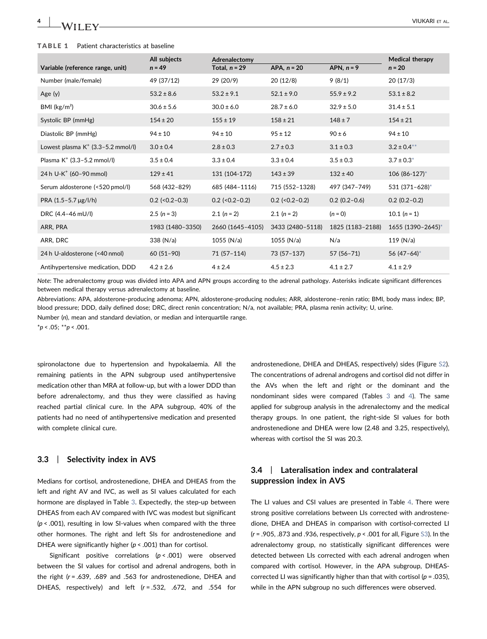#### <span id="page-3-0"></span>TABLE 1 Patient characteristics at baseline

| Variable (reference range, unit)     | All subjects<br>$n = 49$ | Adrenalectomy<br>Total, $n = 29$ | APA, $n = 20$    | APN, $n = 9$     | Medical therapy<br>$n = 20$ |
|--------------------------------------|--------------------------|----------------------------------|------------------|------------------|-----------------------------|
| Number (male/female)                 | 49 (37/12)               | 29 (20/9)                        | 20(12/8)         | 9(8/1)           | 20(17/3)                    |
| Age $(y)$                            | $53.2 \pm 8.6$           | $53.2 \pm 9.1$                   | $52.1 \pm 9.0$   | $55.9 \pm 9.2$   | $53.1 \pm 8.2$              |
| BMI $(kg/m2)$                        | $30.6 \pm 5.6$           | $30.0 \pm 6.0$                   | $28.7 \pm 6.0$   | $32.9 \pm 5.0$   | $31.4 \pm 5.1$              |
| Systolic BP (mmHg)                   | $154 \pm 20$             | $155 \pm 19$                     | $158 \pm 21$     | $148 \pm 7$      | $154 \pm 21$                |
| Diastolic BP (mmHg)                  | $94 \pm 10$              | $94 \pm 10$                      | $95 \pm 12$      | $90 \pm 6$       | $94 \pm 10$                 |
| Lowest plasma $K^+$ (3.3–5.2 mmol/l) | $3.0 \pm 0.4$            | $2.8 \pm 0.3$                    | $2.7 \pm 0.3$    | $3.1 \pm 0.3$    | $3.2 \pm 0.4^{**}$          |
| Plasma $K^+$ (3.3-5.2 mmol/l)        | $3.5 \pm 0.4$            | $3.3 \pm 0.4$                    | $3.3 \pm 0.4$    | $3.5 \pm 0.3$    | $3.7 \pm 0.3^*$             |
| 24 h U-K <sup>+</sup> (60-90 mmol)   | $129 \pm 41$             | 131 (104-172)                    | $143 \pm 39$     | $132 \pm 40$     | 106 (86-127)*               |
| Serum aldosterone (<520 pmol/l)      | 568 (432-829)            | 685 (484-1116)                   | 715 (552-1328)   | 497 (347-749)    | 531 (371-628)*              |
| PRA $(1.5 - 5.7 \mu g/l/h)$          | $0.2$ (< $0.2 - 0.3$ )   | $0.2$ (< $0.2 - 0.2$ )           | $0.2$ (<0.2-0.2) | $0.2(0.2 - 0.6)$ | $0.2(0.2-0.2)$              |
| DRC (4.4-46 mU/l)                    | $2.5(n=3)$               | $2.1(n=2)$                       | $2.1 (n = 2)$    | $(n = 0)$        | 10.1 $(n = 1)$              |
| ARR, PRA                             | 1983 (1480-3350)         | 2660 (1645-4105)                 | 3433 (2480-5118) | 1825 (1183-2188) | 1655 (1390-2645)*           |
| ARR, DRC                             | 338 (N/a)                | $1055$ (N/a)                     | 1055 ( $N/a$ )   | N/a              | 119(N/a)                    |
| 24 h U-aldosterone (<40 nmol)        | $60(51-90)$              | $71(57-114)$                     | 73 (57-137)      | $57(56 - 71)$    | 56 $(47-64)$ *              |
| Antihypertensive medication, DDD     | $4.2 \pm 2.6$            | $4 \pm 2.4$                      | $4.5 \pm 2.3$    | $4.1 \pm 2.7$    | $4.1 \pm 2.9$               |

Note: The adrenalectomy group was divided into APA and APN groups according to the adrenal pathology. Asterisks indicate significant differences between medical therapy versus adrenalectomy at baseline.

Abbreviations: APA, aldosterone‐producing adenoma; APN, aldosterone‐producing nodules; ARR, aldosterone–renin ratio; BMI, body mass index; BP, blood pressure; DDD, daily defined dose; DRC, direct renin concentration; N/a, not available; PRA, plasma renin activity; U, urine.

Number (n), mean and standard deviation, or median and interquartile range.

<span id="page-3-1"></span> $*p < .05; **p < .001$ .

spironolactone due to hypertension and hypokalaemia. All the remaining patients in the APN subgroup used antihypertensive medication other than MRA at follow‐up, but with a lower DDD than before adrenalectomy, and thus they were classified as having reached partial clinical cure. In the APA subgroup, 40% of the patients had no need of antihypertensive medication and presented with complete clinical cure.

## 3.3 | Selectivity index in AVS

Medians for cortisol, androstenedione, DHEA and DHEAS from the left and right AV and IVC, as well as SI values calculated for each hormone are displayed in Table [3](#page-4-1). Expectedly, the step-up between DHEAS from each AV compared with IVC was modest but significant  $(p < .001)$ , resulting in low SI-values when compared with the three other hormones. The right and left SIs for androstenedione and DHEA were significantly higher ( $p < .001$ ) than for cortisol.

Significant positive correlations (p < .001) were observed between the SI values for cortisol and adrenal androgens, both in the right (r = .639, .689 and .563 for androstenedione, DHEA and DHEAS, respectively) and left  $(r = .532, .672, .001, .554$  for androstenedione, DHEA and DHEAS, respectively) sides (Figure S2). The concentrations of adrenal androgens and cortisol did not differ in the AVs when the left and right or the dominant and the nondominant sides were compared (Tables [3](#page-4-1) and [4](#page-5-0)). The same applied for subgroup analysis in the adrenalectomy and the medical therapy groups. In one patient, the right‐side SI values for both androstenedione and DHEA were low (2.48 and 3.25, respectively), whereas with cortisol the SI was 20.3.

# 3.4 | Lateralisation index and contralateral suppression index in AVS

The LI values and CSI values are presented in Table [4](#page-5-0). There were strong positive correlations between LIs corrected with androstenedione, DHEA and DHEAS in comparison with cortisol‐corrected LI  $(r = .905, .873$  and  $.936$ , respectively,  $p < .001$  for all, Figure S3). In the adrenalectomy group, no statistically significant differences were detected between LIs corrected with each adrenal androgen when compared with cortisol. However, in the APA subgroup, DHEAS‐ corrected LI was significantly higher than that with cortisol ( $p = .035$ ), while in the APN subgroup no such differences were observed.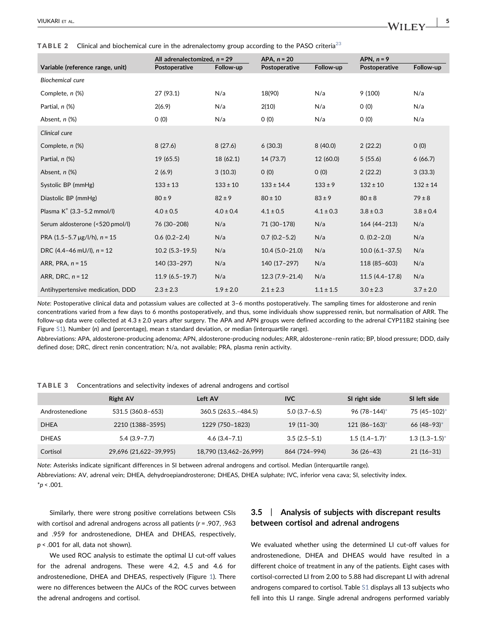<span id="page-4-0"></span>TABLE 2 Clinical and biochemical cure in the adrenalectomy group according to the PASO criteria<sup>[23](#page-8-1)</sup>

|                                        | All adrenalectomized, $n = 29$ |               | APA, $n = 20$      |               | APN, $n = 9$        |               |
|----------------------------------------|--------------------------------|---------------|--------------------|---------------|---------------------|---------------|
| Variable (reference range, unit)       | Postoperative                  | Follow-up     | Postoperative      | Follow-up     | Postoperative       | Follow-up     |
| Biochemical cure                       |                                |               |                    |               |                     |               |
| Complete, n (%)                        | 27 (93.1)                      | N/a           | 18(90)             | N/a           | 9(100)              | N/a           |
| Partial, n (%)                         | 2(6.9)                         | N/a           | 2(10)              | N/a           | 0(0)                | N/a           |
| Absent, n (%)                          | 0(0)                           | N/a           | 0(0)               | N/a           | 0(0)                | N/a           |
| Clinical cure                          |                                |               |                    |               |                     |               |
| Complete, n (%)                        | 8(27.6)                        | 8(27.6)       | 6(30.3)            | 8(40.0)       | 2(22.2)             | O(0)          |
| Partial, n (%)                         | 19 (65.5)                      | 18 (62.1)     | 14 (73.7)          | 12 (60.0)     | 5(55.6)             | 6(66.7)       |
| Absent, n (%)                          | 2(6.9)                         | 3(10.3)       | 0(0)               | 0(0)          | 2(22.2)             | 3(33.3)       |
| Systolic BP (mmHg)                     | $133 \pm 13$                   | $133 \pm 10$  | $133 \pm 14.4$     | $133 \pm 9$   | $132 \pm 10$        | $132 \pm 14$  |
| Diastolic BP (mmHg)                    | $80 \pm 9$                     | $82 \pm 9$    | $80 \pm 10$        | $83 \pm 9$    | $80 \pm 8$          | $79 \pm 8$    |
| Plasma $K^+$ (3.3-5.2 mmol/l)          | $4.0 \pm 0.5$                  | $4.0 \pm 0.4$ | $4.1 \pm 0.5$      | $4.1 \pm 0.3$ | $3.8 \pm 0.3$       | $3.8 \pm 0.4$ |
| Serum aldosterone (<520 pmol/l)        | 76 (30-208)                    | N/a           | 71 (30-178)        | N/a           | 164 (44-213)        | N/a           |
| PRA $(1.5 - 5.7 \mu g/l/h)$ , n = 15   | $0.6(0.2 - 2.4)$               | N/a           | $0.7(0.2 - 5.2)$   | N/a           | $0. (0.2 - 2.0)$    | N/a           |
| DRC $(4.4-46 \text{ mU/l})$ , $n = 12$ | $10.2(5.3-19.5)$               | N/a           | $10.4(5.0-21.0)$   | N/a           | $10.0 (6.1 - 37.5)$ | N/a           |
| ARR, PRA, $n = 15$                     | 140 (33-297)                   | N/a           | 140 (17-297)       | N/a           | 118 (85-603)        | N/a           |
| ARR, DRC, $n = 12$                     | $11.9(6.5-19.7)$               | N/a           | $12.3(7.9 - 21.4)$ | N/a           | $11.5(4.4 - 17.8)$  | N/a           |
| Antihypertensive medication, DDD       | $2.3 \pm 2.3$                  | $1.9 \pm 2.0$ | $2.1 \pm 2.3$      | $1.1 \pm 1.5$ | $3.0 \pm 2.3$       | $3.7 \pm 2.0$ |

Note: Postoperative clinical data and potassium values are collected at 3–6 months postoperatively. The sampling times for aldosterone and renin concentrations varied from a few days to 6 months postoperatively, and thus, some individuals show suppressed renin, but normalisation of ARR. The follow-up data were collected at 4.3 ± 2.0 years after surgery. The APA and APN groups were defined according to the adrenal CYP11B2 staining (see Figure S1). Number (n) and (percentage), mean ± standard deviation, or median (interquartile range).

Abbreviations: APA, aldosterone‐producing adenoma; APN, aldosterone‐producing nodules; ARR, aldosterone–renin ratio; BP, blood pressure; DDD, daily defined dose; DRC, direct renin concentration; N/a, not available; PRA, plasma renin activity.

<span id="page-4-1"></span>TABLE 3 Concentrations and selectivity indexes of adrenal androgens and cortisol

|                 | <b>Right AV</b>        | Left AV                | <b>IVC</b>     | SI right side      | SI left side             |
|-----------------|------------------------|------------------------|----------------|--------------------|--------------------------|
| Androstenedione | 531.5 (360.8–653)      | 360.5 (263.5. - 484.5) | $5.0(3.7-6.5)$ | 96 (78-144)*       | 75 (45-102)*             |
| <b>DHEA</b>     | 2210 (1388–3595)       | 1229 (750-1823)        | $19(11-30)$    | $121 (86 - 163)^*$ | $66(48-93)$ <sup>*</sup> |
| <b>DHEAS</b>    | $5.4(3.9 - 7.7)$       | $4.6(3.4 - 7.1)$       | $3.5(2.5-5.1)$ | $1.5(1.4-1.7)^{*}$ | $1.3(1.3-1.5)^{*}$       |
| Cortisol        | 29,696 (21,622-39,995) | 18,790 (13,462-26,999) | 864 (724-994)  | $36(26-43)$        | $21(16-31)$              |

<span id="page-4-2"></span>Note: Asterisks indicate significant differences in SI between adrenal androgens and cortisol. Median (interquartile range). Abbreviations: AV, adrenal vein; DHEA, dehydroepiandrosterone; DHEAS, DHEA sulphate; IVC, inferior vena cava; SI, selectivity index.  $*_{p}$  < .001.

Similarly, there were strong positive correlations between CSIs with cortisol and adrenal androgens across all patients (r = .907, .963 and .959 for androstenedione, DHEA and DHEAS, respectively, p < .001 for all, data not shown).

We used ROC analysis to estimate the optimal LI cut-off values for the adrenal androgens. These were 4.2, 4.5 and 4.6 for androstenedione, DHEA and DHEAS, respectively (Figure [1\)](#page-6-0). There were no differences between the AUCs of the ROC curves between the adrenal androgens and cortisol.

# 3.5 | Analysis of subjects with discrepant results between cortisol and adrenal androgens

We evaluated whether using the determined LI cut-off values for androstenedione, DHEA and DHEAS would have resulted in a different choice of treatment in any of the patients. Eight cases with cortisol‐corrected LI from 2.00 to 5.88 had discrepant LI with adrenal androgens compared to cortisol. Table S1 displays all 13 subjects who fell into this LI range. Single adrenal androgens performed variably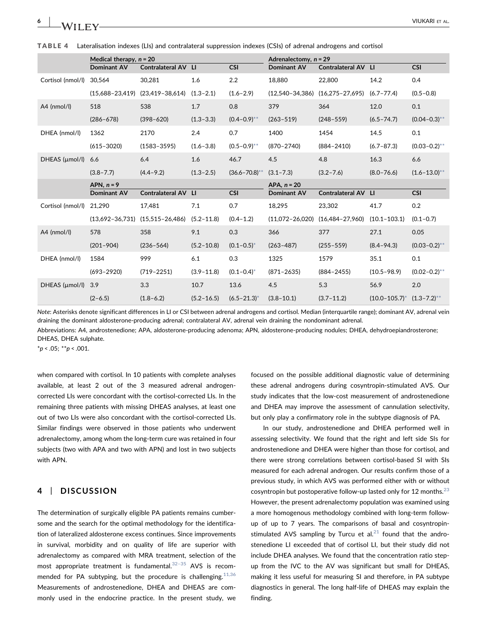<span id="page-5-0"></span>

|  | TABLE 4 Lateralisation indexes (LIs) and contralateral suppression indexes (CSIs) of adrenal androgens and cortisol |  |  |  |  |  |  |
|--|---------------------------------------------------------------------------------------------------------------------|--|--|--|--|--|--|
|--|---------------------------------------------------------------------------------------------------------------------|--|--|--|--|--|--|

|                   | Medical therapy, $n = 20$ |                            |                | Adrenalectomy, $n = 29$ |                     |                                     |                                   |                   |
|-------------------|---------------------------|----------------------------|----------------|-------------------------|---------------------|-------------------------------------|-----------------------------------|-------------------|
|                   | <b>Dominant AV</b>        | <b>Contralateral AV LI</b> |                | <b>CSI</b>              | <b>Dominant AV</b>  | Contralateral AV LI                 |                                   | <b>CSI</b>        |
| Cortisol (nmol/l) | 30.564                    | 30,281                     | 1.6            | 2.2                     | 18.880              | 22,800                              | 14.2                              | 0.4               |
|                   | $(15.688 - 23.419)$       | $(23, 419 - 38, 614)$      | $(1.3 - 2.1)$  | $(1.6 - 2.9)$           |                     | $(12,540-34,386)$ $(16,275-27,695)$ | $(6.7 - 77.4)$                    | $(0.5 - 0.8)$     |
| $A4$ (nmol/l)     | 518                       | 538                        | 1.7            | 0.8                     | 379                 | 364                                 | 12.0                              | 0.1               |
|                   | $(286 - 678)$             | $(398 - 620)$              | $(1.3 - 3.3)$  | $(0.4 - 0.9)^{**}$      | $(263 - 519)$       | $(248 - 559)$                       | $(6.5 - 74.7)$                    | $(0.04 - 0.3)$ ** |
| DHEA (nmol/l)     | 1362                      | 2170                       | 2.4            | 0.7                     | 1400                | 1454                                | 14.5                              | 0.1               |
|                   | $(615 - 3020)$            | $(1583 - 3595)$            | $(1.6 - 3.8)$  | $(0.5 - 0.9)$ **        | $(870 - 2740)$      | $(884 - 2410)$                      | $(6.7 - 87.3)$                    | $(0.03 - 0.2)$ ** |
| DHEAS (µmol/l)    | 6.6                       | 6.4                        | 1.6            | 46.7                    | 4.5                 | 4.8                                 | 16.3                              | 6.6               |
|                   | $(3.8 - 7.7)$             | $(4.4 - 9.2)$              | $(1.3 - 2.5)$  | $(36.6 - 70.8)$ **      | $(3.1 - 7.3)$       | $(3.2 - 7.6)$                       | $(8.0 - 76.6)$                    | $(1.6 - 13.0)$ ** |
|                   | APN, $n = 9$              |                            | APA, $n = 20$  |                         |                     |                                     |                                   |                   |
|                   | Dominant AV               | Contralateral AV LI        |                | <b>CSI</b>              | <b>Dominant AV</b>  | Contralateral AV LI                 |                                   | <b>CSI</b>        |
| Cortisol (nmol/l) | 21,290                    | 17,481                     | 7.1            | 0.7                     | 18,295              | 23,302                              | 41.7                              | 0.2               |
|                   | $(13.692 - 36.731)$       | $(15,515-26,486)$          | $(5.2 - 11.8)$ | $(0.4 - 1.2)$           | $(11,072 - 26,020)$ | $(16, 484 - 27, 960)$               | $(10.1 - 103.1)$                  | $(0.1 - 0.7)$     |
| A4 (nmol/l)       | 578                       | 358                        | 9.1            | 0.3                     | 366                 | 377                                 | 27.1                              | 0.05              |
|                   | $(201 - 904)$             | $(236 - 564)$              | $(5.2 - 10.8)$ | $(0.1 - 0.5)^*$         | $(263 - 487)$       | $(255 - 559)$                       | $(8.4 - 94.3)$                    | $(0.03 - 0.2)$ ** |
| DHEA (nmol/l)     | 1584                      | 999                        | 6.1            | 0.3                     | 1325                | 1579                                | 35.1                              | 0.1               |
|                   | $(693 - 2920)$            | $(719 - 2251)$             | $(3.9 - 11.8)$ | $(0.1 - 0.4)^*$         | $(871 - 2635)$      | $(884 - 2455)$                      | $(10.5 - 98.9)$                   | $(0.02 - 0.2)$ ** |
| DHEAS (µmol/l)    | 3.9                       | 3.3                        | 10.7           | 13.6                    | 4.5                 | 5.3                                 | 56.9                              | 2.0               |
|                   | $(2 - 6.5)$               | $(1.8 - 6.2)$              | $(5.2 - 16.5)$ | $(6.5 - 21.3)^*$        | $(3.8 - 10.1)$      | $(3.7 - 11.2)$                      | $(10.0-105.7)^*$ $(1.3-7.2)^{**}$ |                   |

Note: Asterisks denote significant differences in LI or CSI between adrenal androgens and cortisol. Median (interquartile range); dominant AV, adrenal vein draining the dominant aldosterone‐producing adrenal; contralateral AV, adrenal vein draining the nondominant adrenal.

Abbreviations: A4, androstenedione; APA, aldosterone‐producing adenoma; APN, aldosterone‐producing nodules; DHEA, dehydroepiandrosterone; DHEAS, DHEA sulphate.

<span id="page-5-1"></span> $*p < .05; **p < .001$ .

when compared with cortisol. In 10 patients with complete analyses available, at least 2 out of the 3 measured adrenal androgen‐ corrected LIs were concordant with the cortisol‐corrected LIs. In the remaining three patients with missing DHEAS analyses, at least one out of two LIs were also concordant with the cortisol-corrected LIs. Similar findings were observed in those patients who underwent adrenalectomy, among whom the long-term cure was retained in four subjects (two with APA and two with APN) and lost in two subjects with APN.

# 4 | DISCUSSION

The determination of surgically eligible PA patients remains cumbersome and the search for the optimal methodology for the identification of lateralized aldosterone excess continues. Since improvements in survival, morbidity and on quality of life are superior with adrenalectomy as compared with MRA treatment, selection of the most appropriate treatment is fundamental. $32-35$  $32-35$  AVS is recommended for PA subtyping, but the procedure is challenging.  $11,36$ Measurements of androstenedione, DHEA and DHEAS are commonly used in the endocrine practice. In the present study, we

focused on the possible additional diagnostic value of determining these adrenal androgens during cosyntropin‐stimulated AVS. Our study indicates that the low‐cost measurement of androstenedione and DHEA may improve the assessment of cannulation selectivity, but only play a confirmatory role in the subtype diagnosis of PA.

In our study, androstenedione and DHEA performed well in assessing selectivity. We found that the right and left side SIs for androstenedione and DHEA were higher than those for cortisol, and there were strong correlations between cortisol‐based SI with SIs measured for each adrenal androgen. Our results confirm those of a previous study, in which AVS was performed either with or without cosyntropin but postoperative follow-up lasted only for 12 months. $^{23}$  $^{23}$  $^{23}$ However, the present adrenalectomy population was examined using a more homogenous methodology combined with long-term followup of up to 7 years. The comparisons of basal and cosyntropin‐ stimulated AVS sampling by Turcu et al. $^{21}$  $^{21}$  $^{21}$  found that the androstenedione LI exceeded that of cortisol LI, but their study did not include DHEA analyses. We found that the concentration ratio stepup from the IVC to the AV was significant but small for DHEAS, making it less useful for measuring SI and therefore, in PA subtype diagnostics in general. The long half‐life of DHEAS may explain the finding.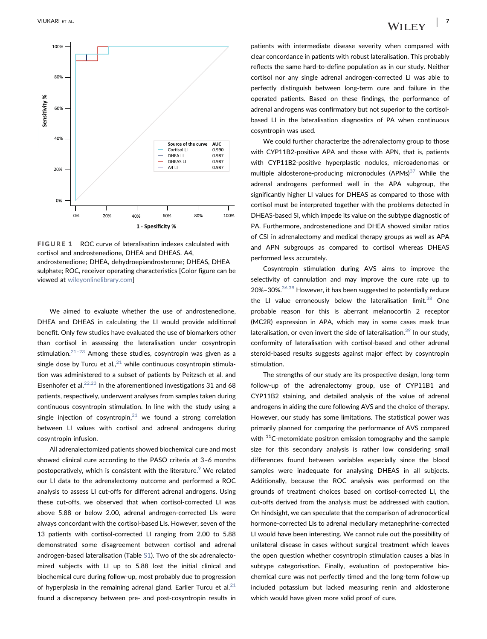<span id="page-6-0"></span>

FIGURE 1 ROC curve of lateralisation indexes calculated with cortisol and androstenedione, DHEA and DHEAS. A4, androstenedione; DHEA, dehydroepiandrosterone; DHEAS, DHEA sulphate; ROC, receiver operating characteristics [Color figure can be viewed at [wileyonlinelibrary.com](https://wileyonlinelibrary.com)]

We aimed to evaluate whether the use of androstenedione, DHEA and DHEAS in calculating the LI would provide additional benefit. Only few studies have evaluated the use of biomarkers other than cortisol in assessing the lateralisation under cosyntropin stimulation. $21-23$  $21-23$  Among these studies, cosyntropin was given as a single dose by Turcu et al.,  $21$  while continuous cosyntropin stimulation was administered to a subset of patients by Peitzsch et al. and Eisenhofer et al. $^{22,23}$  $^{22,23}$  $^{22,23}$  In the aforementioned investigations 31 and 68 patients, respectively, underwent analyses from samples taken during continuous cosyntropin stimulation. In line with the study using a single injection of cosyntropin, $21$  we found a strong correlation between LI values with cortisol and adrenal androgens during cosyntropin infusion.

All adrenalectomized patients showed biochemical cure and most showed clinical cure according to the PASO criteria at 3–6 months postoperatively, which is consistent with the literature. $9$  We related our LI data to the adrenalectomy outcome and performed a ROC analysis to assess LI cut‐offs for different adrenal androgens. Using these cut-offs, we observed that when cortisol-corrected LI was above 5.88 or below 2.00, adrenal androgen‐corrected LIs were always concordant with the cortisol‐based LIs. However, seven of the 13 patients with cortisol‐corrected LI ranging from 2.00 to 5.88 demonstrated some disagreement between cortisol and adrenal androgen‐based lateralisation (Table S1). Two of the six adrenalectomized subjects with LI up to 5.88 lost the initial clinical and biochemical cure during follow‐up, most probably due to progression of hyperplasia in the remaining adrenal gland. Earlier Turcu et al. $21$ found a discrepancy between pre‐ and post‐cosyntropin results in

patients with intermediate disease severity when compared with clear concordance in patients with robust lateralisation. This probably reflects the same hard‐to‐define population as in our study. Neither cortisol nor any single adrenal androgen‐corrected LI was able to perfectly distinguish between long-term cure and failure in the operated patients. Based on these findings, the performance of adrenal androgens was confirmatory but not superior to the cortisol‐ based LI in the lateralisation diagnostics of PA when continuous cosyntropin was used.

We could further characterize the adrenalectomy group to those with CYP11B2‐positive APA and those with APN, that is, patients with CYP11B2‐positive hyperplastic nodules, microadenomas or multiple aldosterone-producing micronodules  $(APMs)^{37}$  $(APMs)^{37}$  $(APMs)^{37}$  While the adrenal androgens performed well in the APA subgroup, the significantly higher LI values for DHEAS as compared to those with cortisol must be interpreted together with the problems detected in DHEAS‐based SI, which impede its value on the subtype diagnostic of PA. Furthermore, androstenedione and DHEA showed similar ratios of CSI in adrenalectomy and medical therapy groups as well as APA and APN subgroups as compared to cortisol whereas DHEAS performed less accurately.

Cosyntropin stimulation during AVS aims to improve the selectivity of cannulation and may improve the cure rate up to 20%-30%.<sup>[36,38](#page-8-10)</sup> However, it has been suggested to potentially reduce the LI value erroneously below the lateralisation limit.<sup>[38](#page-8-11)</sup> One probable reason for this is aberrant melanocortin 2 receptor (MC2R) expression in APA, which may in some cases mask true lateralisation, or even invert the side of lateralisation.<sup>[39](#page-8-12)</sup> In our study, conformity of lateralisation with cortisol‐based and other adrenal steroid‐based results suggests against major effect by cosyntropin stimulation.

The strengths of our study are its prospective design, long‐term follow‐up of the adrenalectomy group, use of CYP11B1 and CYP11B2 staining, and detailed analysis of the value of adrenal androgens in aiding the cure following AVS and the choice of therapy. However, our study has some limitations. The statistical power was primarily planned for comparing the performance of AVS compared with  $11C$ -metomidate positron emission tomography and the sample size for this secondary analysis is rather low considering small differences found between variables especially since the blood samples were inadequate for analysing DHEAS in all subjects. Additionally, because the ROC analysis was performed on the grounds of treatment choices based on cortisol‐corrected LI, the cut-offs derived from the analysis must be addressed with caution. On hindsight, we can speculate that the comparison of adrenocortical hormone‐corrected LIs to adrenal medullary metanephrine‐corrected LI would have been interesting. We cannot rule out the possibility of unilateral disease in cases without surgical treatment which leaves the open question whether cosyntropin stimulation causes a bias in subtype categorisation. Finally, evaluation of postoperative biochemical cure was not perfectly timed and the long‐term follow‐up included potassium but lacked measuring renin and aldosterone which would have given more solid proof of cure.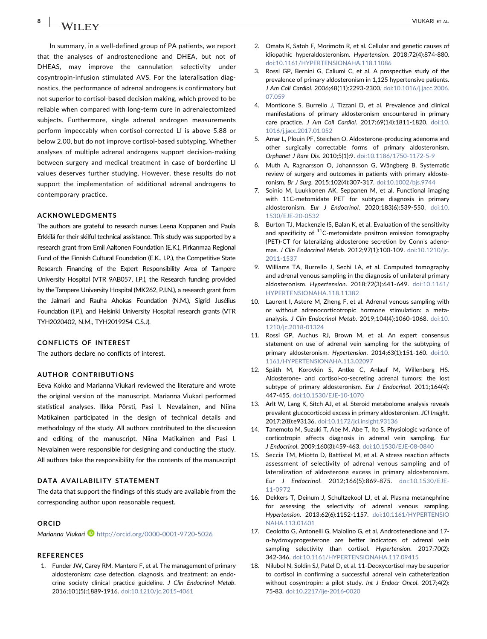8 | **IA/II EV** | **IA/II EV** | **IA/II EV** | **IA** 

In summary, in a well-defined group of PA patients, we report that the analyses of androstenedione and DHEA, but not of DHEAS, may improve the cannulation selectivity under cosyntropin‐infusion stimulated AVS. For the lateralisation diagnostics, the performance of adrenal androgens is confirmatory but not superior to cortisol‐based decision making, which proved to be reliable when compared with long‐term cure in adrenalectomized subjects. Furthermore, single adrenal androgen measurements perform impeccably when cortisol‐corrected LI is above 5.88 or below 2.00, but do not improve cortisol‐based subtyping. Whether analyses of multiple adrenal androgens support decision‐making between surgery and medical treatment in case of borderline LI values deserves further studying. However, these results do not support the implementation of additional adrenal androgens to contemporary practice.

#### ACKNOWLEDGMENTS

The authors are grateful to research nurses Leena Koppanen and Paula Erkkilä for their skilful technical assistance. This study was supported by a research grant from Emil Aaltonen Foundation (E.K.), Pirkanmaa Regional Fund of the Finnish Cultural Foundation (E.K., I.P.), the Competitive State Research Financing of the Expert Responsibility Area of Tampere University Hospital (VTR 9AB057, I.P.), the Research funding provided by theTampere University Hospital (MK262, P.I.N.), a research grant from the Jalmari and Rauha Ahokas Foundation (N.M.), Sigrid Jusélius Foundation (I.P.), and Helsinki University Hospital research grants (VTR TYH2020402, N.M., TYH2019254 C.S.J).

#### CONFLICTS OF INTEREST

The authors declare no conflicts of interest.

#### AUTHOR CONTRIBUTIONS

Eeva Kokko and Marianna Viukari reviewed the literature and wrote the original version of the manuscript. Marianna Viukari performed statistical analyses. Ilkka Pörsti, Pasi I. Nevalainen, and Niina Matikainen participated in the design of technical details and methodology of the study. All authors contributed to the discussion and editing of the manuscript. Niina Matikainen and Pasi I. Nevalainen were responsible for designing and conducting the study. All authors take the responsibility for the contents of the manuscript

#### DATA AVAILABILITY STATEMENT

The data that support the findings of this study are available from the corresponding author upon reasonable request.

#### ORCID

Marianna Viukari D<http://orcid.org/0000-0001-9720-5026>

#### **REFERENCES**

<span id="page-7-0"></span>1. Funder JW, Carey RM, Mantero F, et al. The management of primary aldosteronism: case detection, diagnosis, and treatment: an endocrine society clinical practice guideline. J Clin Endocrinol Metab. 2016;101(5):1889‐1916. [doi:10.1210/jc.2015-4061](https://doi.org/10.1210/jc.2015-4061)

- 2. Omata K, Satoh F, Morimoto R, et al. Cellular and genetic causes of idiopathic hyperaldosteronism. Hypertension. 2018;72(4):874‐880. [doi:10.1161/HYPERTENSIONAHA.118.11086](https://doi.org/10.1161/HYPERTENSIONAHA.118.11086)
- <span id="page-7-1"></span>3. Rossi GP, Bernini G, Caliumi C, et al. A prospective study of the prevalence of primary aldosteronism in 1,125 hypertensive patients. J Am Coll Cardiol. 2006;48(11):2293‐2300. [doi:10.1016/j.jacc.2006.](https://doi.org/10.1016/j.jacc.2006.07.059) [07.059](https://doi.org/10.1016/j.jacc.2006.07.059)
- 4. Monticone S, Burrello J, Tizzani D, et al. Prevalence and clinical manifestations of primary aldosteronism encountered in primary care practice. J Am Coll Cardiol. 2017;69(14):1811‐1820. [doi:10.](https://doi.org/10.1016/j.jacc.2017.01.052) [1016/j.jacc.2017.01.052](https://doi.org/10.1016/j.jacc.2017.01.052)
- <span id="page-7-2"></span>5. Amar L, Plouin PF, Steichen O. Aldosterone‐producing adenoma and other surgically correctable forms of primary aldosteronism. Orphanet J Rare Dis. 2010;5(1):9. [doi:10.1186/1750-1172-5-9](https://doi.org/10.1186/1750-1172-5-9)
- 6. Muth A, Ragnarsson O, Johannsson G, Wängberg B. Systematic review of surgery and outcomes in patients with primary aldosteronism. Br J Surg. 2015;102(4):307‐317. [doi:10.1002/bjs.9744](https://doi.org/10.1002/bjs.9744)
- <span id="page-7-9"></span>7. Soinio M, Luukkonen AK, Seppanen M, et al. Functional imaging with 11C-metomidate PET for subtype diagnosis in primary aldosteronism. Eur J Endocrinol. 2020;183(6):539‐550. [doi:10.](https://doi.org/10.1530/EJE-20-0532) [1530/EJE-20-0532](https://doi.org/10.1530/EJE-20-0532)
- 8. Burton TJ, Mackenzie IS, Balan K, et al. Evaluation of the sensitivity and specificity of  $^{11}$ C-metomidate positron emission tomography (PET)‐CT for lateralizing aldosterone secretion by Conn's adenomas. J Clin Endocrinol Metab. 2012;97(1):100‐109. [doi:10.1210/jc.](https://doi.org/10.1210/jc.2011-1537) [2011-1537](https://doi.org/10.1210/jc.2011-1537)
- <span id="page-7-3"></span>9. Williams TA, Burrello J, Sechi LA, et al. Computed tomography and adrenal venous sampling in the diagnosis of unilateral primary aldosteronism. Hypertension. 2018;72(3):641‐649. [doi:10.1161/](https://doi.org/10.1161/HYPERTENSIONAHA.118.11382) [HYPERTENSIONAHA.118.11382](https://doi.org/10.1161/HYPERTENSIONAHA.118.11382)
- <span id="page-7-4"></span>10. Laurent I, Astere M, Zheng F, et al. Adrenal venous sampling with or without adrenocorticotropic hormone stimulation: a meta‐ analysis. J Clin Endocrinol Metab. 2019;104(4):1060‐1068. [doi:10.](https://doi.org/10.1210/jc.2018-01324) [1210/jc.2018-01324](https://doi.org/10.1210/jc.2018-01324)
- <span id="page-7-5"></span>11. Rossi GP, Auchus RJ, Brown M, et al. An expert consensus statement on use of adrenal vein sampling for the subtyping of primary aldosteronism. Hypertension. 2014;63(1):151-160. [doi:10.](https://doi.org/10.1161/HYPERTENSIONAHA.113.02097) [1161/HYPERTENSIONAHA.113.02097](https://doi.org/10.1161/HYPERTENSIONAHA.113.02097)
- <span id="page-7-6"></span>12. Späth M, Korovkin S, Antke C, Anlauf M, Willenberg HS. Aldosterone- and cortisol-co-secreting adrenal tumors: the lost subtype of primary aldosteronism. Eur J Endocrinol. 2011;164(4): 447‐455. [doi:10.1530/EJE-10-1070](https://doi.org/10.1530/EJE-10-1070)
- 13. Arlt W, Lang K, Sitch AJ, et al. Steroid metabolome analysis reveals prevalent glucocorticoid excess in primary aldosteronism. JCI Insight. 2017;2(8):e93136. [doi:10.1172/jci.insight.93136](https://doi.org/10.1172/jci.insight.93136)
- <span id="page-7-7"></span>14. Tanemoto M, Suzuki T, Abe M, Abe T, Ito S. Physiologic variance of corticotropin affects diagnosis in adrenal vein sampling. Eur J Endocrinol. 2009;160(3):459‐463. [doi:10.1530/EJE-08-0840](https://doi.org/10.1530/EJE-08-0840)
- 15. Seccia TM, Miotto D, Battistel M, et al. A stress reaction affects assessment of selectivity of adrenal venous sampling and of lateralization of aldosterone excess in primary aldosteronism. Eur J Endocrinol. 2012;166(5):869‐875. [doi:10.1530/EJE-](https://doi.org/10.1530/EJE-11-0972)[11-0972](https://doi.org/10.1530/EJE-11-0972)
- <span id="page-7-8"></span>16. Dekkers T, Deinum J, Schultzekool LJ, et al. Plasma metanephrine for assessing the selectivity of adrenal venous sampling. Hypertension. 2013;62(6):1152‐1157. [doi:10.1161/HYPERTENSIO](https://doi.org/10.1161/HYPERTENSIONAHA.113.01601) [NAHA.113.01601](https://doi.org/10.1161/HYPERTENSIONAHA.113.01601)
- 17. Ceolotto G, Antonelli G, Maiolino G, et al. Androstenedione and 17‐ α‐hydroxyprogesterone are better indicators of adrenal vein sampling selectivity than cortisol. Hypertension. 2017;70(2): 342‐346. [doi:10.1161/HYPERTENSIONAHA.117.09415](https://doi.org/10.1161/HYPERTENSIONAHA.117.09415)
- 18. Nilubol N, Soldin SJ, Patel D, et al. 11‐Deoxycortisol may be superior to cortisol in confirming a successful adrenal vein catheterization without cosyntropin: a pilot study. Int J Endocr Oncol. 2017;4(2): 75‐83. [doi:10.2217/ije-2016-0020](https://doi.org/10.2217/ije-2016-0020)